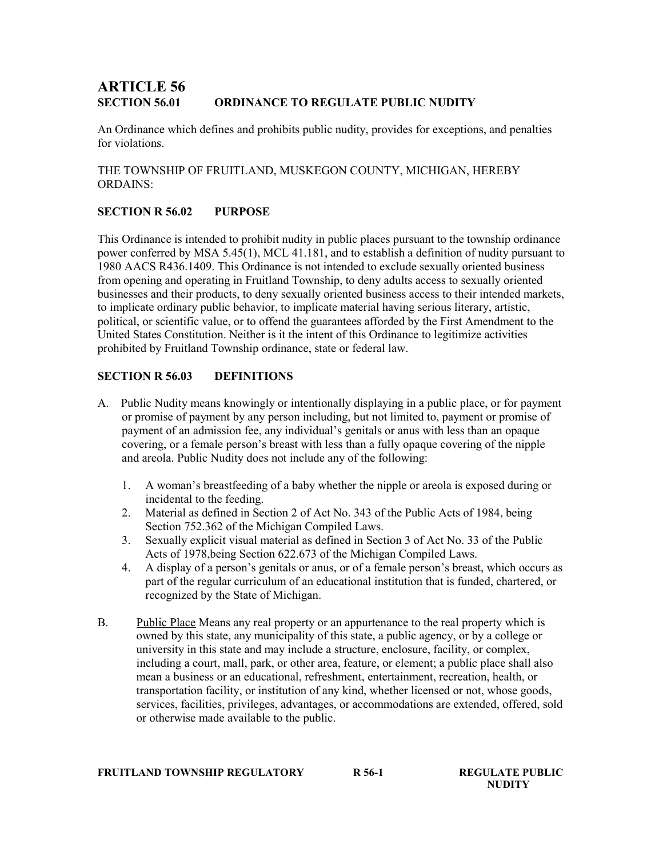# ARTICLE 56 SECTION 56.01 ORDINANCE TO REGULATE PUBLIC NUDITY

An Ordinance which defines and prohibits public nudity, provides for exceptions, and penalties for violations.

THE TOWNSHIP OF FRUITLAND, MUSKEGON COUNTY, MICHIGAN, HEREBY ORDAINS:

## SECTION R 56.02 PURPOSE

This Ordinance is intended to prohibit nudity in public places pursuant to the township ordinance power conferred by MSA 5.45(1), MCL 41.181, and to establish a definition of nudity pursuant to 1980 AACS R436.1409. This Ordinance is not intended to exclude sexually oriented business from opening and operating in Fruitland Township, to deny adults access to sexually oriented businesses and their products, to deny sexually oriented business access to their intended markets, to implicate ordinary public behavior, to implicate material having serious literary, artistic, political, or scientific value, or to offend the guarantees afforded by the First Amendment to the United States Constitution. Neither is it the intent of this Ordinance to legitimize activities prohibited by Fruitland Township ordinance, state or federal law.

## SECTION R 56.03 DEFINITIONS

- A. Public Nudity means knowingly or intentionally displaying in a public place, or for payment or promise of payment by any person including, but not limited to, payment or promise of payment of an admission fee, any individual's genitals or anus with less than an opaque covering, or a female person's breast with less than a fully opaque covering of the nipple and areola. Public Nudity does not include any of the following:
	- 1. A woman's breastfeeding of a baby whether the nipple or areola is exposed during or incidental to the feeding.
	- 2. Material as defined in Section 2 of Act No. 343 of the Public Acts of 1984, being Section 752.362 of the Michigan Compiled Laws.
	- 3. Sexually explicit visual material as defined in Section 3 of Act No. 33 of the Public Acts of 1978,being Section 622.673 of the Michigan Compiled Laws.
	- 4. A display of a person's genitals or anus, or of a female person's breast, which occurs as part of the regular curriculum of an educational institution that is funded, chartered, or recognized by the State of Michigan.
- B. Public Place Means any real property or an appurtenance to the real property which is owned by this state, any municipality of this state, a public agency, or by a college or university in this state and may include a structure, enclosure, facility, or complex, including a court, mall, park, or other area, feature, or element; a public place shall also mean a business or an educational, refreshment, entertainment, recreation, health, or transportation facility, or institution of any kind, whether licensed or not, whose goods, services, facilities, privileges, advantages, or accommodations are extended, offered, sold or otherwise made available to the public.